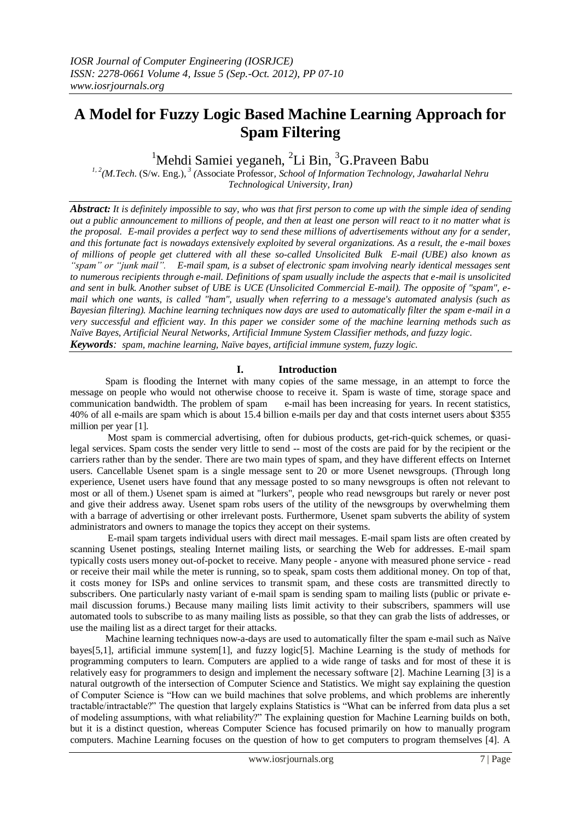# **A Model for Fuzzy Logic Based Machine Learning Approach for Spam Filtering**

<sup>1</sup>Mehdi Samiei yeganeh, <sup>2</sup>Li Bin, <sup>3</sup>G.Praveen Babu

*1, 2(M.Tech*. (S/w. Eng.), *<sup>3</sup> (*Associate Professor*, School of Information Technology, Jawaharlal Nehru Technological University, Iran)* 

*Abstract: It is definitely impossible to say, who was that first person to come up with the simple idea of sending out a public announcement to millions of people, and then at least one person will react to it no matter what is the proposal. E-mail provides a perfect way to send these millions of advertisements without any for a sender, and this fortunate fact is nowadays extensively exploited by several organizations. As a result, the e-mail boxes of millions of people get cluttered with all these so-called Unsolicited Bulk E-mail (UBE) also known as "spam" or "junk mail". E-mail spam, is a subset of [electronic spam](http://en.wikipedia.org/wiki/Spam_(electronic)) involving nearly identical messages sent to numerous recipients through [e-mail.](http://en.wikipedia.org/wiki/Email) Definitions of spam usually include the aspects that e-mail is unsolicited and sent in bulk. Another subset of UBE is UCE (Unsolicited Commercial E-mail). The opposite of "spam", email which one wants, is called "ham", usually when referring to a message's automated analysis (such as Bayesian filtering). Machine learning techniques now days are used to automatically filter the spam e-mail in a very successful and efficient way. In this paper we consider some of the machine learning methods such as Naïve Bayes, Artificial Neural Networks, Artificial Immune System Classifier methods, and fuzzy logic. Keywords: spam, machine learning, Naïve bayes, artificial immune system, fuzzy logic.*

## **I. Introduction**

 Spam is flooding the Internet with many copies of the same message, in an attempt to force the message on people who would not otherwise choose to receive it. Spam is waste of time, storage space and communication bandwidth. The problem of spam e-mail has been increasing for years. In recent statistics, 40% of all e-mails are spam which is about 15.4 billion e-mails per day and that costs internet users about \$355 million per year [1].

 Most spam is commercial advertising, often for dubious products, get-rich-quick schemes, or quasilegal services. Spam costs the sender very little to send -- most of the costs are paid for by the recipient or the carriers rather than by the sender. There are two main types of spam, and they have different effects on Internet users. Cancellable Usenet spam is a single message sent to 20 or more Usenet newsgroups. (Through long experience, Usenet users have found that any message posted to so many newsgroups is often not relevant to most or all of them.) Usenet spam is aimed at "lurkers", people who read newsgroups but rarely or never post and give their address away. Usenet spam robs users of the utility of the newsgroups by overwhelming them with a barrage of advertising or other irrelevant posts. Furthermore, Usenet spam subverts the ability of system administrators and owners to manage the topics they accept on their systems.

 E-mail spam targets individual users with direct mail messages. E-mail spam lists are often created by scanning Usenet postings, stealing Internet mailing lists, or searching the Web for addresses. E-mail spam typically costs users money out-of-pocket to receive. Many people - anyone with measured phone service - read or receive their mail while the meter is running, so to speak, spam costs them additional money. On top of that, it costs money for ISPs and online services to transmit spam, and these costs are transmitted directly to subscribers. One particularly nasty variant of e-mail spam is sending spam to mailing lists (public or private email discussion forums.) Because many mailing lists limit activity to their subscribers, spammers will use automated tools to subscribe to as many mailing lists as possible, so that they can grab the lists of addresses, or use the mailing list as a direct target for their attacks.

 Machine learning techniques now-a-days are used to automatically filter the spam e-mail such as Naïve bayes[5,1], artificial immune system[1], and fuzzy logic[5]. Machine Learning is the study of methods for programming computers to learn. Computers are applied to a wide range of tasks and for most of these it is relatively easy for programmers to design and implement the necessary software [2]. Machine Learning [3] is a natural outgrowth of the intersection of Computer Science and Statistics. We might say explaining the question of Computer Science is "How can we build machines that solve problems, and which problems are inherently tractable/intractable?" The question that largely explains Statistics is "What can be inferred from data plus a set of modeling assumptions, with what reliability?" The explaining question for Machine Learning builds on both, but it is a distinct question, whereas Computer Science has focused primarily on how to manually program computers. Machine Learning focuses on the question of how to get computers to program themselves [4]. A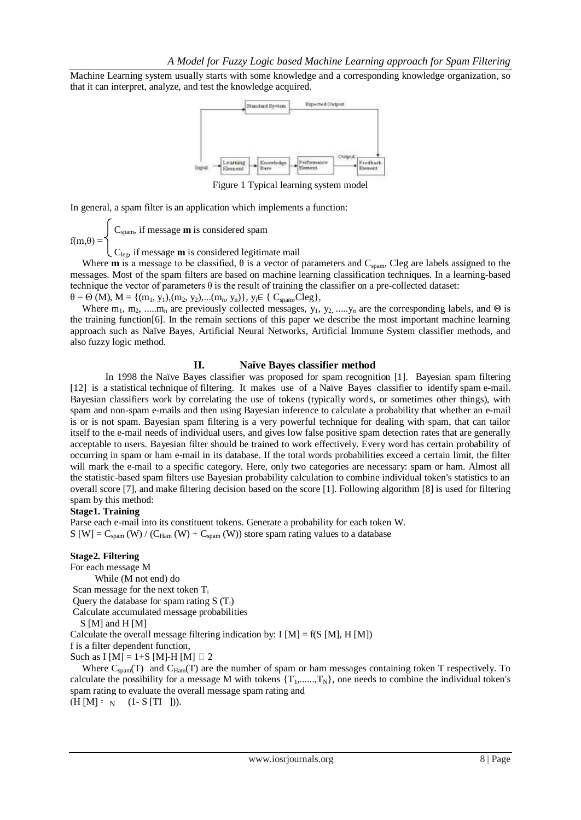Machine Learning system usually starts with some knowledge and a corresponding knowledge organization, so that it can interpret, analyze, and test the knowledge acquired.



Figure 1 Typical learning system model

In general, a spam filter is an application which implements a function:

 $\bigcup_{\text{Cspam}}$ , if message **m** is considered spam  $f(m,\theta) =$ 

 $\mathcal{C}_{\text{leg}}$ , if message **m** is considered legitimate mail

Where **m** is a message to be classified,  $\theta$  is a vector of parameters and C<sub>spam</sub>, Cleg are labels assigned to the messages. Most of the spam filters are based on machine learning classification techniques. In a learning-based technique the vector of parameters  $\theta$  is the result of training the classifier on a pre-collected dataset:

 $\theta = \Theta$  (M),  $M = \{(m_1, y_1), (m_2, y_2), \ldots, (m_n, y_n)\}, y_i \in \{C_{spam}, Cleg\},\$ 

Where  $m_1, m_2, \dots, m_n$  are previously collected messages,  $y_1, y_2, \dots, y_n$  are the corresponding labels, and  $\Theta$  is the training function[6]. In the remain sections of this paper we describe the most important machine learning approach such as Naïve Bayes, Artificial Neural Networks, Artificial Immune System classifier methods, and also fuzzy logic method.

#### **II. Naïve Bayes classifier method**

 In 1998 the Naïve Bayes classifier was proposed for spam recognition [1]. Bayesian spam filtering [12] is a [statistical](http://en.wikipedia.org/wiki/Statistics) [technique](http://en.wikipedia.org/wiki/Scientific_technique) of filtering. It makes use of a Naïve [Bayes classifier](http://en.wikipedia.org/wiki/Naive_Bayes_classifier) to identify [spam](http://en.wikipedia.org/wiki/Spam_(electronic)) e-mail. Bayesian classifiers work by correlating the use of tokens (typically words, or sometimes other things), with spam and non-spam e-mails and then using [Bayesian inference](http://en.wikipedia.org/wiki/Bayesian_inference) to calculate a probability that whether an e-mail is or is not spam. Bayesian spam filtering is a very powerful technique for dealing with spam, that can tailor itself to the e-mail needs of individual users, and gives low [false positive](http://en.wikipedia.org/wiki/False_positive) spam detection rates that are generally acceptable to users. Bayesian filter should be trained to work effectively. Every word has certain probability of occurring in spam or ham e-mail in its database. If the total words probabilities exceed a certain limit, the filter will mark the e-mail to a specific category. Here, only two categories are necessary: spam or ham. Almost all the statistic-based spam filters use Bayesian probability calculation to combine individual token's statistics to an overall score [7], and make filtering decision based on the score [1]. Following algorithm [8] is used for filtering spam by this method:

### **Stage1. Training**

Parse each e-mail into its constituent tokens. Generate a probability for each token W.  $S[W] = C_{\text{spam}}(W) / (C_{\text{Ham}}(W) + C_{\text{spam}}(W))$  store spam rating values to a database

#### **Stage2. Filtering**

For each message M While (M not end) do Scan message for the next token  $T_i$ Query the database for spam rating  $S(T_i)$ Calculate accumulated message probabilities S [M] and H [M] Calculate the overall message filtering indication by: I  $[M] = f(S[M], H[M])$ f is a filter dependent function, Such as I [M] = 1+S [M]-H [M]  $\Box$  2

Where  $C_{\text{spam}}(T)$  and  $C_{\text{Ham}}(T)$  are the number of spam or ham messages containing token T respectively. To calculate the possibility for a message M with tokens  $\{T_1, \ldots, T_N\}$ , one needs to combine the individual token's spam rating to evaluate the overall message spam rating and  $(H[M] = N (1-S [TI])).$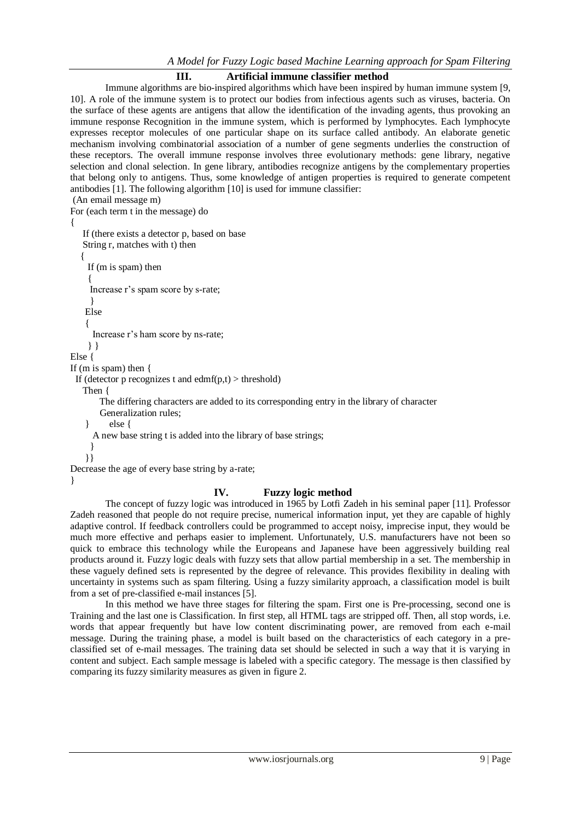## **III. Artificial immune classifier method**

 Immune algorithms are bio-inspired algorithms which have been inspired by human immune system [9, 10]. A role of the immune system is to protect our bodies from infectious agents such as viruses, bacteria. On the surface of these agents are antigens that allow the identification of the invading agents, thus provoking an immune response Recognition in the immune system, which is performed by lymphocytes. Each lymphocyte expresses receptor molecules of one particular shape on its surface called antibody. An elaborate genetic mechanism involving combinatorial association of a number of gene segments underlies the construction of these receptors. The overall immune response involves three evolutionary methods: gene library, negative selection and clonal selection. In gene library, antibodies recognize antigens by the complementary properties that belong only to antigens. Thus, some knowledge of antigen properties is required to generate competent antibodies [1]. The following algorithm [10] is used for immune classifier:

(An email message m) For (each term t in the message) do

{

 If (there exists a detector p, based on base String r, matches with t) then  $\{$  If (m is spam) then { Increase r's spam score by s-rate; } Else { Increase r's ham score by ns-rate; } } Else { If (m is spam) then {

If (detector p recognizes t and edmf(p,t)  $>$  threshold)

Then {

The differing characters are added to its corresponding entry in the library of character

Generalization rules;

} else {

```
 A new base string t is added into the library of base strings;
```

```
 }
```
}}

Decrease the age of every base string by a-rate;

}

## **IV. Fuzzy logic method**

 The concept of fuzzy logic was introduced in 1965 by Lotfi Zadeh in his seminal paper [11]. Professor Zadeh reasoned that people do not require precise, numerical information input, yet they are capable of highly adaptive control. If feedback controllers could be programmed to accept noisy, imprecise input, they would be much more effective and perhaps easier to implement. Unfortunately, U.S. manufacturers have not been so quick to embrace this technology while the Europeans and Japanese have been aggressively building real products around it. Fuzzy logic deals with fuzzy sets that allow partial membership in a set. The membership in these vaguely defined sets is represented by the degree of relevance. This provides flexibility in dealing with uncertainty in systems such as spam filtering. Using a fuzzy similarity approach, a classification model is built from a set of pre-classified e-mail instances [5].

 In this method we have three stages for filtering the spam. First one is Pre-processing, second one is Training and the last one is Classification. In first step, all HTML tags are stripped off. Then, all stop words, i.e. words that appear frequently but have low content discriminating power, are removed from each e-mail message. During the training phase, a model is built based on the characteristics of each category in a preclassified set of e-mail messages. The training data set should be selected in such a way that it is varying in content and subject. Each sample message is labeled with a specific category. The message is then classified by comparing its fuzzy similarity measures as given in figure 2.